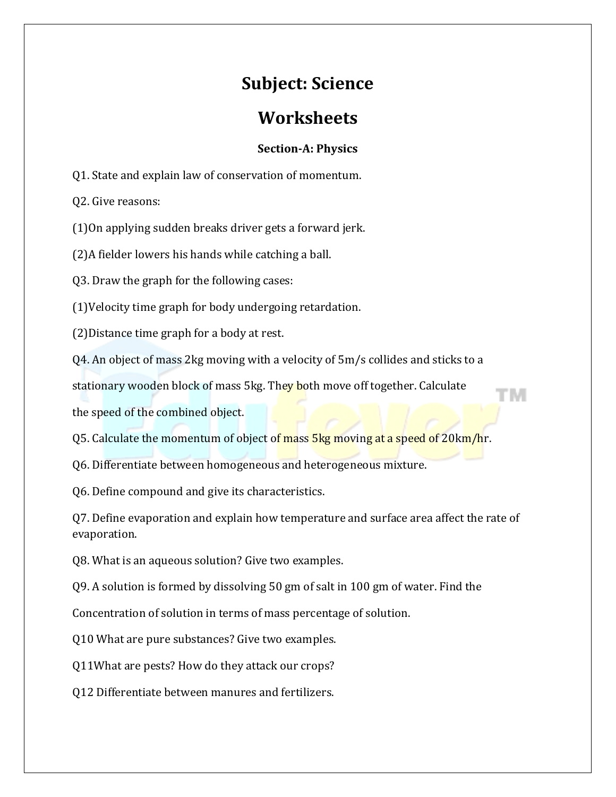# **Subject: Science**

## **Worksheets**

## **Section-A: Physics**

Q1. State and explain law of conservation of momentum.

Q2. Give reasons:

(1)On applying sudden breaks driver gets a forward jerk.

(2)A fielder lowers his hands while catching a ball.

Q3. Draw the graph for the following cases:

(1)Velocity time graph for body undergoing retardation.

(2)Distance time graph for a body at rest.

Q4. An object of mass 2kg moving with a velocity of 5m/s collides and sticks to a

stationary wooden block of mass 5kg. They both move off together. Calculate

the speed of the combined object.

Q5. Calculate the momentum of object of mass 5kg moving at a speed of 20km/hr.

Q6. Differentiate between homogeneous and heterogeneous mixture.

Q6. Define compound and give its characteristics.

Q7. Define evaporation and explain how temperature and surface area affect the rate of evaporation.

Q8. What is an aqueous solution? Give two examples.

Q9. A solution is formed by dissolving 50 gm of salt in 100 gm of water. Find the

Concentration of solution in terms of mass percentage of solution.

Q10 What are pure substances? Give two examples.

Q11What are pests? How do they attack our crops?

Q12 Differentiate between manures and fertilizers.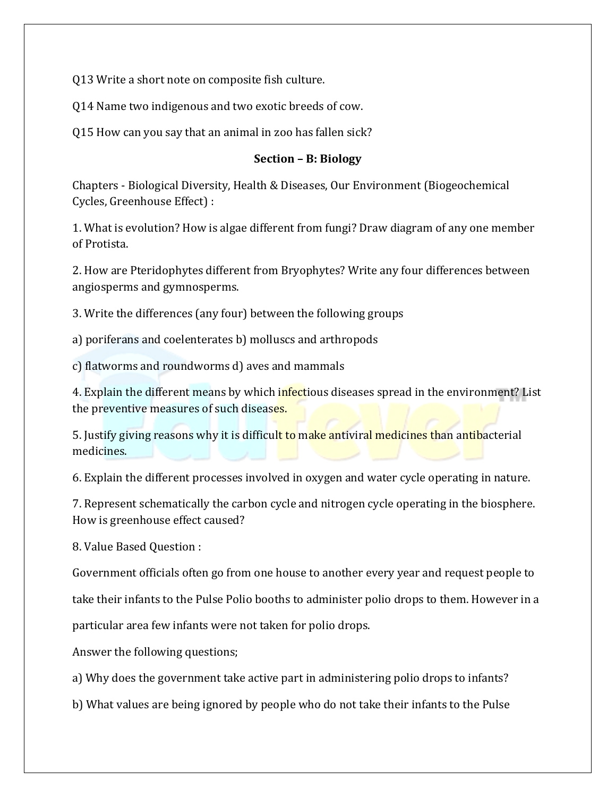Q13 Write a short note on composite fish culture.

Q14 Name two indigenous and two exotic breeds of cow.

Q15 How can you say that an animal in zoo has fallen sick?

#### **Section – B: Biology**

Chapters - Biological Diversity, Health & Diseases, Our Environment (Biogeochemical Cycles, Greenhouse Effect) :

1. What is evolution? How is algae different from fungi? Draw diagram of any one member of Protista.

2. How are Pteridophytes different from Bryophytes? Write any four differences between angiosperms and gymnosperms.

3. Write the differences (any four) between the following groups

a) poriferans and coelenterates b) molluscs and arthropods

c) flatworms and roundworms d) aves and mammals

4. Explain the different means by which infectious diseases spread in the environment? List the preventive measures of such diseases.

5. Justify giving reasons why it is difficult to make antiviral medicines than antibacterial medicines.

6. Explain the different processes involved in oxygen and water cycle operating in nature.

7. Represent schematically the carbon cycle and nitrogen cycle operating in the biosphere. How is greenhouse effect caused?

8. Value Based Question :

Government officials often go from one house to another every year and request people to

take their infants to the Pulse Polio booths to administer polio drops to them. However in a

particular area few infants were not taken for polio drops.

Answer the following questions;

a) Why does the government take active part in administering polio drops to infants?

b) What values are being ignored by people who do not take their infants to the Pulse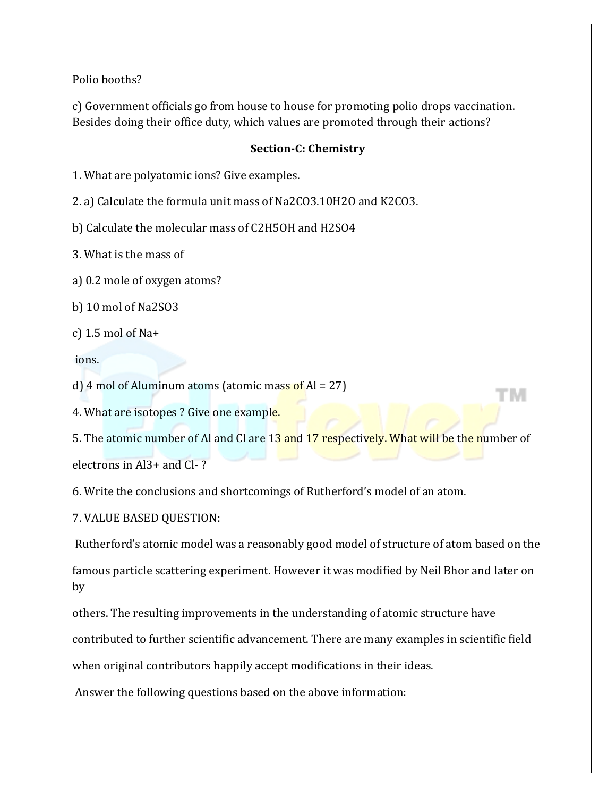Polio booths?

c) Government officials go from house to house for promoting polio drops vaccination. Besides doing their office duty, which values are promoted through their actions?

### **Section-C: Chemistry**

1. What are polyatomic ions? Give examples.

2. a) Calculate the formula unit mass of Na2CO3.10H2O and K2CO3.

b) Calculate the molecular mass of C2H5OH and H2SO4

3. What is the mass of

a) 0.2 mole of oxygen atoms?

b) 10 mol of Na2SO3

c) 1.5 mol of Na+

ions.

d) 4 mol of Aluminum atoms (atomic mass of  $Al = 27$ )

4. What are isotopes ? Give one example.

5. The atomic number of Al and Cl are 13 and 17 respectively. What will be the number of electrons in Al3+ and Cl- ?

TW.

6. Write the conclusions and shortcomings of Rutherford's model of an atom.

7. VALUE BASED QUESTION:

Rutherford's atomic model was a reasonably good model of structure of atom based on the

famous particle scattering experiment. However it was modified by Neil Bhor and later on by

others. The resulting improvements in the understanding of atomic structure have

contributed to further scientific advancement. There are many examples in scientific field

when original contributors happily accept modifications in their ideas.

Answer the following questions based on the above information: